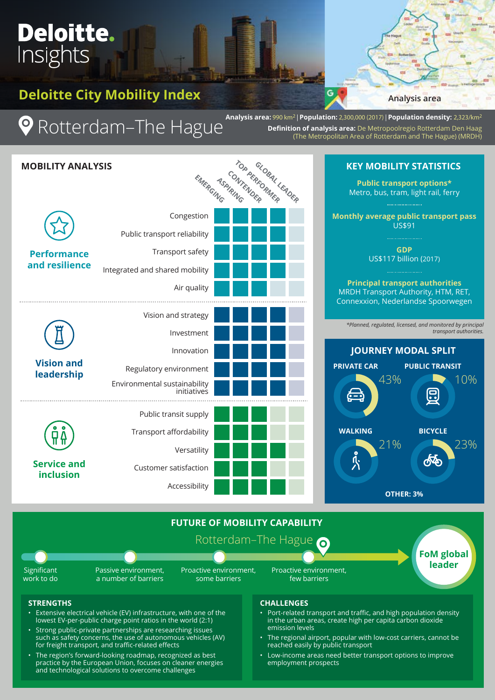# **Deloitte City Mobility Index**

**Deloitte.** 

Insights

**Analysis area**

Rotterdam–The Hague

**Analysis area:** 990 km2 | **Population:** 2,300,000 (2017) | **Population density:** 2,323/km2 **Definition of analysis area:** De Metropoolregio Rotterdam Den Haag (The Metropolitan Area of Rotterdam and The Hague) (MRDH)

G



- Strong public-private partnerships are researching issues such as safety concerns, the use of autonomous vehicles (AV) for freight transport, and traffic-related effects
- The region's forward-looking roadmap, recognized as best practice by the European Union, focuses on cleaner energies and technological solutions to overcome challenges
- in the urban areas, create high per capita carbon dioxide emission levels
- The regional airport, popular with low-cost carriers, cannot be reached easily by public transport
- Low-income areas need better transport options to improve employment prospects